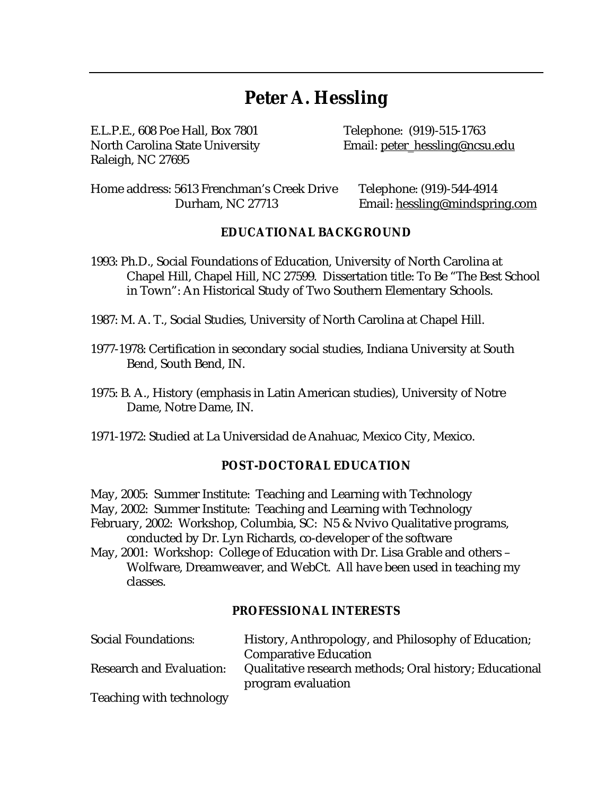# **Peter A. Hessling**

E.L.P.E., 608 Poe Hall, Box 7801 Telephone: (919)-515-1763 Raleigh, NC 27695

North Carolina State University **Email:** [peter\\_hessling@ncsu.edu](mailto:peter_hessling@ncsu.edu)

Home address: 5613 Frenchman's Creek Drive Telephone: (919)-544-4914 Durham, NC 27713 Email: [hessling@mindspring.com](mailto:hessling@mindspring.com)

#### **EDUCATIONAL BACKGROUND**

1993: Ph.D., Social Foundations of Education, University of North Carolina at Chapel Hill, Chapel Hill, NC 27599. Dissertation title: To Be "The Best School in Town": An Historical Study of Two Southern Elementary Schools.

1987: M. A. T., Social Studies, University of North Carolina at Chapel Hill.

- 1977-1978: Certification in secondary social studies, Indiana University at South Bend, South Bend, IN.
- 1975: B. A., History (emphasis in Latin American studies), University of Notre Dame, Notre Dame, IN.
- 1971-1972: Studied at La Universidad de Anahuac, Mexico City, Mexico.

#### **POST-DOCTORAL EDUCATION**

- May, 2005: Summer Institute: Teaching and Learning with Technology
- May, 2002: Summer Institute: Teaching and Learning with Technology

February, 2002: Workshop, Columbia, SC: N5 & Nvivo Qualitative programs, conducted by Dr. Lyn Richards, co-developer of the software

May, 2001: Workshop: College of Education with Dr. Lisa Grable and others – Wolfware, Dreamweaver, and WebCt. All have been used in teaching my classes.

#### **PROFESSIONAL INTERESTS**

| <b>Social Foundations:</b>      | History, Anthropology, and Philosophy of Education;                           |
|---------------------------------|-------------------------------------------------------------------------------|
|                                 | <b>Comparative Education</b>                                                  |
| <b>Research and Evaluation:</b> | Qualitative research methods; Oral history; Educational<br>program evaluation |
| <b>Teaching with technology</b> |                                                                               |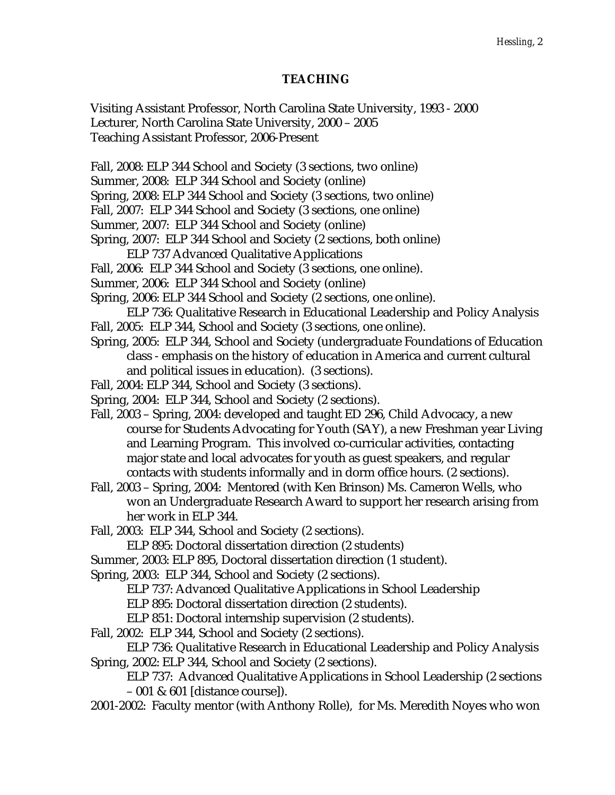### **TEACHING**

Visiting Assistant Professor, North Carolina State University, 1993 - 2000 Lecturer, North Carolina State University, 2000 – 2005 Teaching Assistant Professor, 2006-Present

Fall, 2008: ELP 344 School and Society (3 sections, two online)

Summer, 2008: ELP 344 School and Society (online)

Spring, 2008: ELP 344 School and Society (3 sections, two online)

Fall, 2007: ELP 344 School and Society (3 sections, one online)

Summer, 2007: ELP 344 School and Society (online)

Spring, 2007: ELP 344 School and Society (2 sections, both online)

- ELP 737 Advanced Qualitative Applications
- Fall, 2006: ELP 344 School and Society (3 sections, one online).
- Summer, 2006: ELP 344 School and Society (online)

Spring, 2006: ELP 344 School and Society (2 sections, one online).

ELP 736: Qualitative Research in Educational Leadership and Policy Analysis Fall, 2005: ELP 344, School and Society (3 sections, one online).

Spring, 2005: ELP 344, School and Society (undergraduate Foundations of Education class - emphasis on the history of education in America and current cultural and political issues in education). (3 sections).

Fall, 2004: ELP 344, School and Society (3 sections).

Spring, 2004: ELP 344, School and Society (2 sections).

Fall, 2003 – Spring, 2004: developed and taught ED 296, Child Advocacy, a new course for Students Advocating for Youth (SAY), a new Freshman year Living and Learning Program. This involved co-curricular activities, contacting major state and local advocates for youth as guest speakers, and regular contacts with students informally and in dorm office hours. (2 sections).

Fall, 2003 – Spring, 2004: Mentored (with Ken Brinson) Ms. Cameron Wells, who won an Undergraduate Research Award to support her research arising from her work in ELP 344.

Fall, 2003: ELP 344, School and Society (2 sections).

ELP 895: Doctoral dissertation direction (2 students)

Summer, 2003: ELP 895, Doctoral dissertation direction (1 student).

Spring, 2003: ELP 344, School and Society (2 sections).

ELP 737: Advanced Qualitative Applications in School Leadership

ELP 895: Doctoral dissertation direction (2 students).

ELP 851: Doctoral internship supervision (2 students).

Fall, 2002: ELP 344, School and Society (2 sections).

ELP 736: Qualitative Research in Educational Leadership and Policy Analysis Spring, 2002: ELP 344, School and Society (2 sections).

ELP 737: Advanced Qualitative Applications in School Leadership (2 sections – 001 & 601 [distance course]).

2001-2002: Faculty mentor (with Anthony Rolle), for Ms. Meredith Noyes who won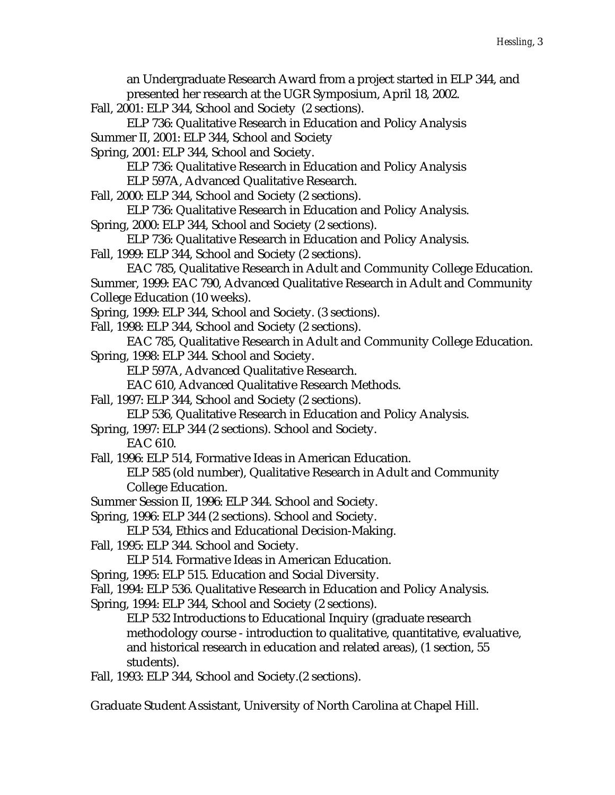an Undergraduate Research Award from a project started in ELP 344, and presented her research at the UGR Symposium, April 18, 2002.

Fall, 2001: ELP 344, School and Society (2 sections).

ELP 736: Qualitative Research in Education and Policy Analysis Summer II, 2001: ELP 344, School and Society

Spring, 2001: ELP 344, School and Society.

ELP 736: Qualitative Research in Education and Policy Analysis

ELP 597A, Advanced Qualitative Research.

Fall, 2000: ELP 344, School and Society (2 sections).

ELP 736: Qualitative Research in Education and Policy Analysis.

Spring, 2000: ELP 344, School and Society (2 sections).

ELP 736: Qualitative Research in Education and Policy Analysis.

Fall, 1999: ELP 344, School and Society (2 sections).

EAC 785, Qualitative Research in Adult and Community College Education. Summer, 1999: EAC 790, Advanced Qualitative Research in Adult and Community College Education (10 weeks).

Spring, 1999: ELP 344, School and Society. (3 sections).

Fall, 1998: ELP 344, School and Society (2 sections).

EAC 785, Qualitative Research in Adult and Community College Education. Spring, 1998: ELP 344. School and Society.

ELP 597A, Advanced Qualitative Research.

EAC 610, Advanced Qualitative Research Methods.

Fall, 1997: ELP 344, School and Society (2 sections).

ELP 536, Qualitative Research in Education and Policy Analysis.

Spring, 1997: ELP 344 (2 sections). School and Society.

EAC 610.

Fall, 1996: ELP 514, Formative Ideas in American Education.

ELP 585 (old number), Qualitative Research in Adult and Community College Education.

Summer Session II, 1996: ELP 344. School and Society.

Spring, 1996: ELP 344 (2 sections). School and Society.

ELP 534, Ethics and Educational Decision-Making.

Fall, 1995: ELP 344. School and Society.

ELP 514. Formative Ideas in American Education.

Spring, 1995: ELP 515. Education and Social Diversity.

Fall, 1994: ELP 536. Qualitative Research in Education and Policy Analysis.

Spring, 1994: ELP 344, School and Society (2 sections).

ELP 532 Introductions to Educational Inquiry (graduate research methodology course - introduction to qualitative, quantitative, evaluative, and historical research in education and related areas), (1 section, 55 students).

Fall, 1993: ELP 344, School and Society.(2 sections).

Graduate Student Assistant, University of North Carolina at Chapel Hill.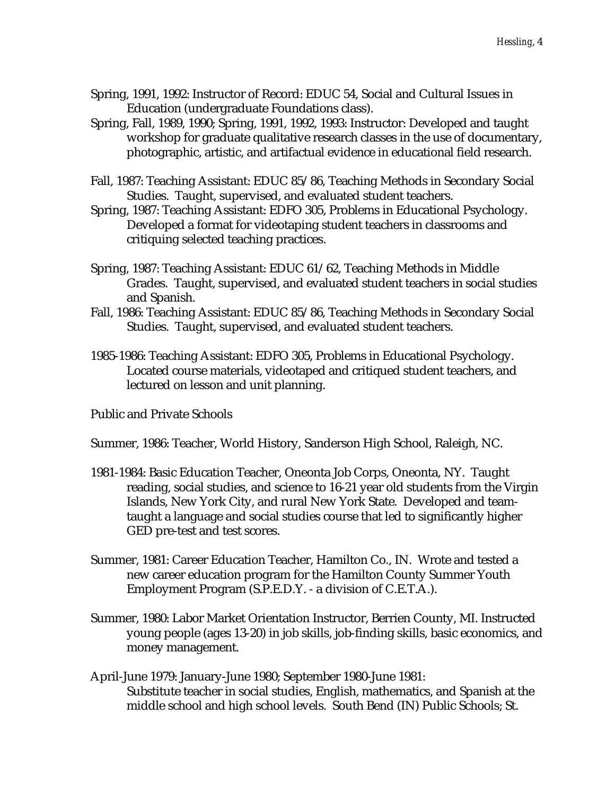- Spring, 1991, 1992: Instructor of Record: EDUC 54, Social and Cultural Issues in Education (undergraduate Foundations class).
- Spring, Fall, 1989, 1990; Spring, 1991, 1992, 1993: Instructor: Developed and taught workshop for graduate qualitative research classes in the use of documentary, photographic, artistic, and artifactual evidence in educational field research.
- Fall, 1987: Teaching Assistant: EDUC 85/86, Teaching Methods in Secondary Social Studies. Taught, supervised, and evaluated student teachers.
- Spring, 1987: Teaching Assistant: EDFO 305, Problems in Educational Psychology. Developed a format for videotaping student teachers in classrooms and critiquing selected teaching practices.
- Spring, 1987: Teaching Assistant: EDUC 61/62, Teaching Methods in Middle Grades. Taught, supervised, and evaluated student teachers in social studies and Spanish.
- Fall, 1986: Teaching Assistant: EDUC 85/86, Teaching Methods in Secondary Social Studies. Taught, supervised, and evaluated student teachers.
- 1985-1986: Teaching Assistant: EDFO 305, Problems in Educational Psychology. Located course materials, videotaped and critiqued student teachers, and lectured on lesson and unit planning.

Public and Private Schools

Summer, 1986: Teacher, World History, Sanderson High School, Raleigh, NC.

- 1981-1984: Basic Education Teacher, Oneonta Job Corps, Oneonta, NY. Taught reading, social studies, and science to 16-21 year old students from the Virgin Islands, New York City, and rural New York State. Developed and teamtaught a language and social studies course that led to significantly higher GED pre-test and test scores.
- Summer, 1981: Career Education Teacher, Hamilton Co., IN. Wrote and tested a new career education program for the Hamilton County Summer Youth Employment Program (S.P.E.D.Y. - a division of C.E.T.A.).
- Summer, 1980: Labor Market Orientation Instructor, Berrien County, MI. Instructed young people (ages 13-20) in job skills, job-finding skills, basic economics, and money management.
- April-June 1979: January-June 1980; September 1980-June 1981: Substitute teacher in social studies, English, mathematics, and Spanish at the middle school and high school levels. South Bend (IN) Public Schools; St.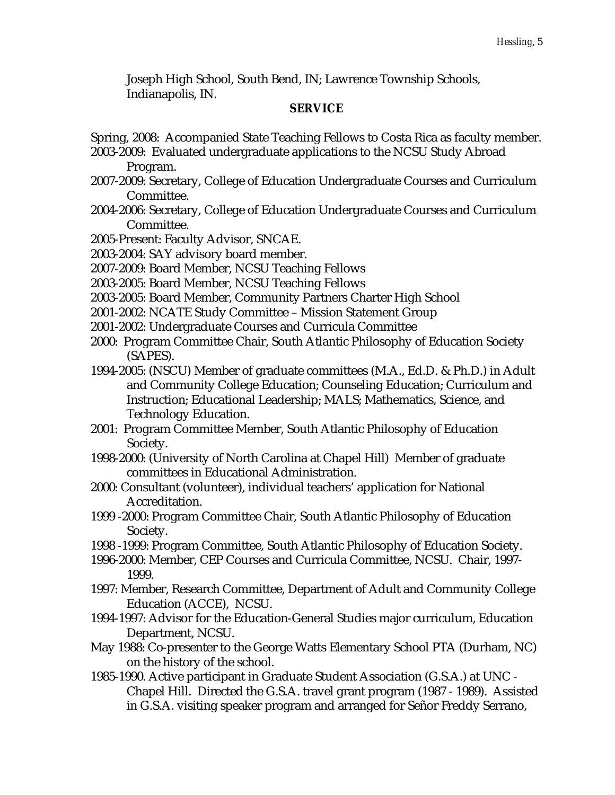Joseph High School, South Bend, IN; Lawrence Township Schools, Indianapolis, IN.

#### **SERVICE**

- Spring, 2008: Accompanied State Teaching Fellows to Costa Rica as faculty member.
- 2003-2009: Evaluated undergraduate applications to the NCSU Study Abroad Program.
- 2007-2009: Secretary, College of Education Undergraduate Courses and Curriculum Committee.
- 2004-2006: Secretary, College of Education Undergraduate Courses and Curriculum Committee.
- 2005-Present: Faculty Advisor, SNCAE.
- 2003-2004: SAY advisory board member.
- 2007-2009: Board Member, NCSU Teaching Fellows
- 2003-2005: Board Member, NCSU Teaching Fellows
- 2003-2005: Board Member, Community Partners Charter High School
- 2001-2002: NCATE Study Committee Mission Statement Group
- 2001-2002: Undergraduate Courses and Curricula Committee
- 2000: Program Committee Chair, South Atlantic Philosophy of Education Society (SAPES).
- 1994-2005: (NSCU) Member of graduate committees (M.A., Ed.D. & Ph.D.) in Adult and Community College Education; Counseling Education; Curriculum and Instruction; Educational Leadership; MALS; Mathematics, Science, and Technology Education.
- 2001: Program Committee Member, South Atlantic Philosophy of Education Society.
- 1998-2000: (University of North Carolina at Chapel Hill) Member of graduate committees in Educational Administration.
- 2000: Consultant (volunteer), individual teachers' application for National Accreditation.
- 1999 -2000: Program Committee Chair, South Atlantic Philosophy of Education Society.
- 1998 -1999: Program Committee, South Atlantic Philosophy of Education Society.
- 1996-2000: Member, CEP Courses and Curricula Committee, NCSU. Chair, 1997- 1999.
- 1997: Member, Research Committee, Department of Adult and Community College Education (ACCE), NCSU.
- 1994-1997: Advisor for the Education-General Studies major curriculum, Education Department, NCSU.
- May 1988: Co-presenter to the George Watts Elementary School PTA (Durham, NC) on the history of the school.
- 1985-1990. Active participant in Graduate Student Association (G.S.A.) at UNC Chapel Hill. Directed the G.S.A. travel grant program (1987 - 1989). Assisted in G.S.A. visiting speaker program and arranged for Señor Freddy Serrano,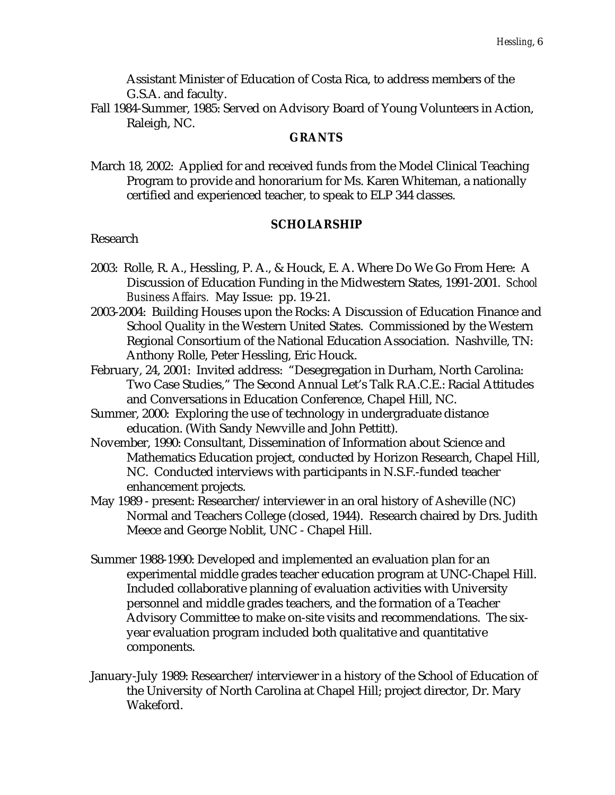Assistant Minister of Education of Costa Rica, to address members of the G.S.A. and faculty.

Fall 1984-Summer, 1985: Served on Advisory Board of Young Volunteers in Action, Raleigh, NC.

#### **GRANTS**

March 18, 2002: Applied for and received funds from the Model Clinical Teaching Program to provide and honorarium for Ms. Karen Whiteman, a nationally certified and experienced teacher, to speak to ELP 344 classes.

#### **SCHOLARSHIP**

#### Research

- 2003: Rolle, R. A., Hessling, P. A., & Houck, E. A. Where Do We Go From Here: A Discussion of Education Funding in the Midwestern States, 1991-2001. *School Business Affairs.* May Issue: pp. 19-21.
- 2003-2004: Building Houses upon the Rocks: A Discussion of Education Finance and School Quality in the Western United States. Commissioned by the Western Regional Consortium of the National Education Association. Nashville, TN: Anthony Rolle, Peter Hessling, Eric Houck.
- February, 24, 2001: Invited address: "Desegregation in Durham, North Carolina: Two Case Studies," The Second Annual Let's Talk R.A.C.E.: Racial Attitudes and Conversations in Education Conference, Chapel Hill, NC.
- Summer, 2000: Exploring the use of technology in undergraduate distance education. (With Sandy Newville and John Pettitt).
- November, 1990: Consultant, Dissemination of Information about Science and Mathematics Education project, conducted by Horizon Research, Chapel Hill, NC. Conducted interviews with participants in N.S.F.-funded teacher enhancement projects.
- May 1989 present: Researcher/interviewer in an oral history of Asheville (NC) Normal and Teachers College (closed, 1944). Research chaired by Drs. Judith Meece and George Noblit, UNC - Chapel Hill.
- Summer 1988-1990: Developed and implemented an evaluation plan for an experimental middle grades teacher education program at UNC-Chapel Hill. Included collaborative planning of evaluation activities with University personnel and middle grades teachers, and the formation of a Teacher Advisory Committee to make on-site visits and recommendations. The sixyear evaluation program included both qualitative and quantitative components.
- January-July 1989: Researcher/interviewer in a history of the School of Education of the University of North Carolina at Chapel Hill; project director, Dr. Mary Wakeford.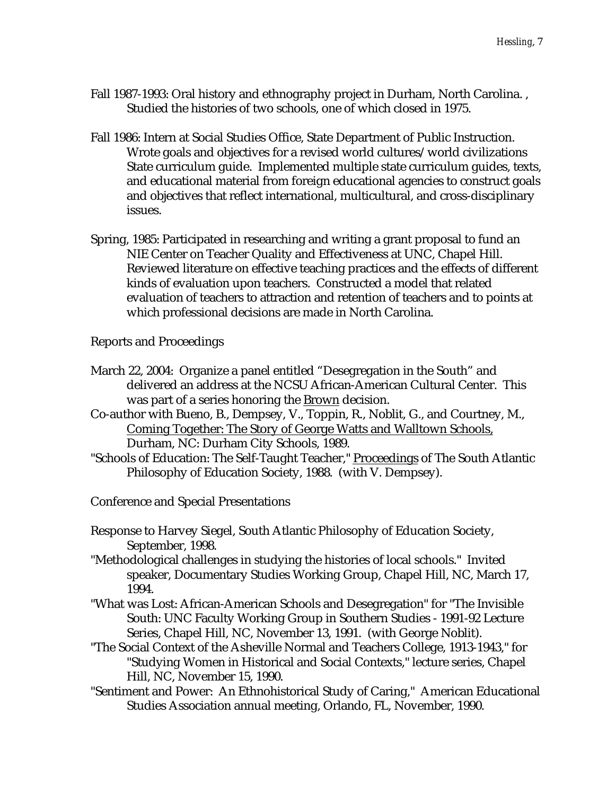- Fall 1987-1993: Oral history and ethnography project in Durham, North Carolina. , Studied the histories of two schools, one of which closed in 1975.
- Fall 1986: Intern at Social Studies Office, State Department of Public Instruction. Wrote goals and objectives for a revised world cultures/world civilizations State curriculum guide. Implemented multiple state curriculum guides, texts, and educational material from foreign educational agencies to construct goals and objectives that reflect international, multicultural, and cross-disciplinary issues.
- Spring, 1985: Participated in researching and writing a grant proposal to fund an NIE Center on Teacher Quality and Effectiveness at UNC, Chapel Hill. Reviewed literature on effective teaching practices and the effects of different kinds of evaluation upon teachers. Constructed a model that related evaluation of teachers to attraction and retention of teachers and to points at which professional decisions are made in North Carolina.

Reports and Proceedings

- March 22, 2004: Organize a panel entitled "Desegregation in the South" and delivered an address at the NCSU African-American Cultural Center. This was part of a series honoring the Brown decision.
- Co-author with Bueno, B., Dempsey, V., Toppin, R., Noblit, G., and Courtney, M., Coming Together: The Story of George Watts and Walltown Schools, Durham, NC: Durham City Schools, 1989.
- "Schools of Education: The Self-Taught Teacher," Proceedings of The South Atlantic Philosophy of Education Society, 1988. (with V. Dempsey).
- Conference and Special Presentations
- Response to Harvey Siegel, South Atlantic Philosophy of Education Society, September, 1998.
- "Methodological challenges in studying the histories of local schools." Invited speaker, Documentary Studies Working Group, Chapel Hill, NC, March 17, 1994.
- "What was Lost: African-American Schools and Desegregation" for "The Invisible South: UNC Faculty Working Group in Southern Studies - 1991-92 Lecture Series, Chapel Hill, NC, November 13, 1991. (with George Noblit).
- "The Social Context of the Asheville Normal and Teachers College, 1913-1943," for "Studying Women in Historical and Social Contexts," lecture series, Chapel Hill, NC, November 15, 1990.
- "Sentiment and Power: An Ethnohistorical Study of Caring," American Educational Studies Association annual meeting, Orlando, FL, November, 1990.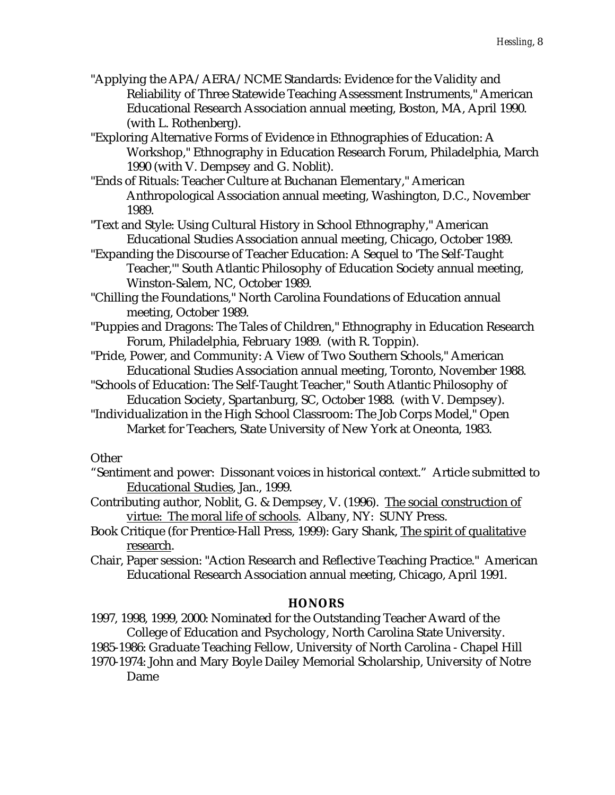- "Applying the APA/AERA/NCME Standards: Evidence for the Validity and Reliability of Three Statewide Teaching Assessment Instruments," American Educational Research Association annual meeting, Boston, MA, April 1990. (with L. Rothenberg).
- "Exploring Alternative Forms of Evidence in Ethnographies of Education: A Workshop," Ethnography in Education Research Forum, Philadelphia, March 1990 (with V. Dempsey and G. Noblit).
- "Ends of Rituals: Teacher Culture at Buchanan Elementary," American Anthropological Association annual meeting, Washington, D.C., November 1989.
- "Text and Style: Using Cultural History in School Ethnography," American Educational Studies Association annual meeting, Chicago, October 1989.
- "Expanding the Discourse of Teacher Education: A Sequel to 'The Self-Taught Teacher,'" South Atlantic Philosophy of Education Society annual meeting, Winston-Salem, NC, October 1989.
- "Chilling the Foundations," North Carolina Foundations of Education annual meeting, October 1989.
- "Puppies and Dragons: The Tales of Children," Ethnography in Education Research Forum, Philadelphia, February 1989. (with R. Toppin).
- "Pride, Power, and Community: A View of Two Southern Schools," American Educational Studies Association annual meeting, Toronto, November 1988.
- "Schools of Education: The Self-Taught Teacher," South Atlantic Philosophy of Education Society, Spartanburg, SC, October 1988. (with V. Dempsey).
- "Individualization in the High School Classroom: The Job Corps Model," Open Market for Teachers, State University of New York at Oneonta, 1983.

## **Other**

- "Sentiment and power: Dissonant voices in historical context." Article submitted to Educational Studies, Jan., 1999.
- Contributing author, Noblit, G. & Dempsey, V. (1996). The social construction of virtue: The moral life of schools. Albany, NY: SUNY Press.
- Book Critique (for Prentice-Hall Press, 1999): Gary Shank, The spirit of qualitative research.
- Chair, Paper session: "Action Research and Reflective Teaching Practice." American Educational Research Association annual meeting, Chicago, April 1991.

## **HONORS**

- 1997, 1998, 1999, 2000: Nominated for the Outstanding Teacher Award of the College of Education and Psychology, North Carolina State University.
- 1985-1986: Graduate Teaching Fellow, University of North Carolina Chapel Hill
- 1970-1974: John and Mary Boyle Dailey Memorial Scholarship, University of Notre Dame